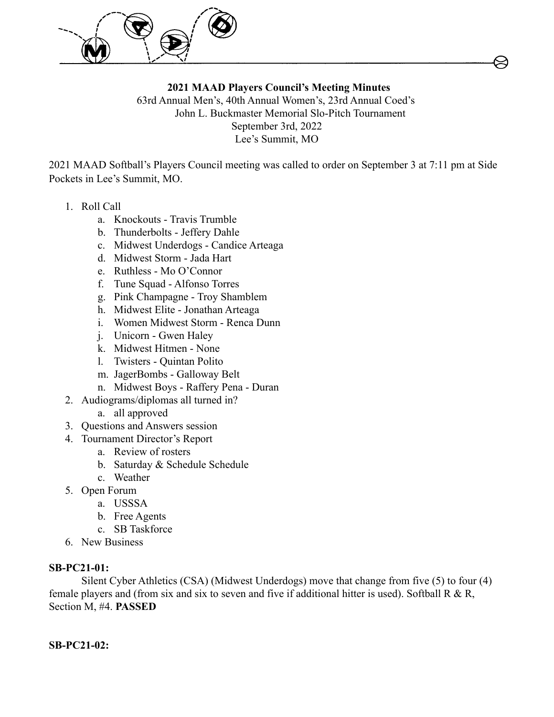

**2021 MAAD Players Council's Meeting Minutes** 63rd Annual Men's, 40th Annual Women's, 23rd Annual Coed's John L. Buckmaster Memorial Slo-Pitch Tournament September 3rd, 2022 Lee's Summit, MO

2021 MAAD Softball's Players Council meeting was called to order on September 3 at 7:11 pm at Side Pockets in Lee's Summit, MO.

- 1. Roll Call
	- a. Knockouts Travis Trumble
	- b. Thunderbolts Jeffery Dahle
	- c. Midwest Underdogs Candice Arteaga
	- d. Midwest Storm Jada Hart
	- e. Ruthless Mo O'Connor
	- f. Tune Squad Alfonso Torres
	- g. Pink Champagne Troy Shamblem
	- h. Midwest Elite Jonathan Arteaga
	- i. Women Midwest Storm Renca Dunn
	- j. Unicorn Gwen Haley
	- k. Midwest Hitmen None
	- l. Twisters Quintan Polito
	- m. JagerBombs Galloway Belt
	- n. Midwest Boys Raffery Pena Duran
- 2. Audiograms/diplomas all turned in?
	- a. all approved
- 3. Questions and Answers session
- 4. Tournament Director's Report
	- a. Review of rosters
	- b. Saturday & Schedule Schedule
	- c. Weather
- 5. Open Forum
	- a. USSSA
	- b. Free Agents
	- c. SB Taskforce
- 6. New Business

### **SB-PC21-01:**

Silent Cyber Athletics (CSA) (Midwest Underdogs) move that change from five (5) to four (4) female players and (from six and six to seven and five if additional hitter is used). Softball R & R, Section M, #4. **PASSED**

**SB-PC21-02:**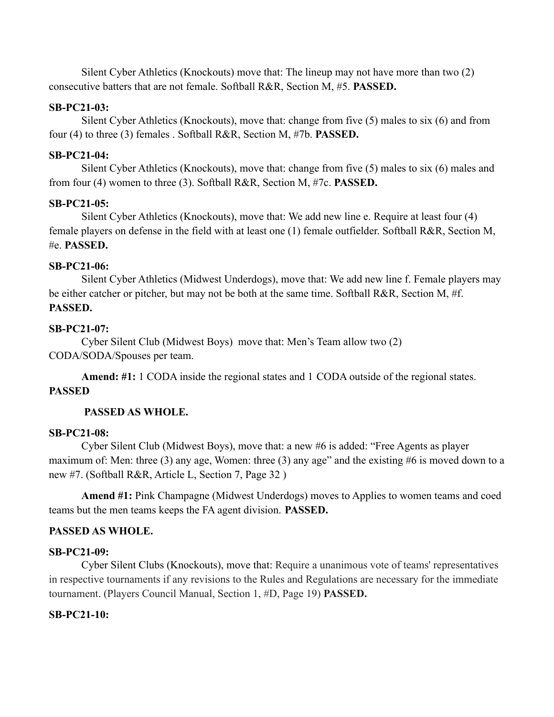Silent Cyber Athletics (Knockouts) move that: The lineup may not have more than two (2) consecutive batters that are not female. Softball R&R, Section M, #5. **PASSED.**

### **SB-PC21-03:**

Silent Cyber Athletics (Knockouts), move that: change from five (5) males to six (6) and from four (4) to three (3) females . Softball R&R, Section M, #7b. **PASSED.**

### **SB-PC21-04:**

Silent Cyber Athletics (Knockouts), move that: change from five (5) males to six (6) males and from four (4) women to three (3). Softball R&R, Section M, #7c. **PASSED.**

# **SB-PC21-05:**

Silent Cyber Athletics (Knockouts), move that: We add new line e. Require at least four (4) female players on defense in the field with at least one (1) female outfielder. Softball R&R, Section M, #e. **PASSED.**

# **SB-PC21-06:**

Silent Cyber Athletics (Midwest Underdogs), move that: We add new line f. Female players may be either catcher or pitcher, but may not be both at the same time. Softball R&R, Section M, #f. **PASSED.**

# **SB-PC21-07:**

Cyber Silent Club (Midwest Boys) move that: Men's Team allow two (2) CODA/SODA/Spouses per team.

**Amend: #1:** 1 CODA inside the regional states and 1 CODA outside of the regional states. **PASSED**

# **PASSED AS WHOLE.**

### **SB-PC21-08:**

Cyber Silent Club (Midwest Boys), move that: a new #6 is added: "Free Agents as player maximum of: Men: three (3) any age, Women: three (3) any age" and the existing #6 is moved down to a new #7. (Softball R&R, Article L, Section 7, Page 32 )

**Amend #1:** Pink Champagne (Midwest Underdogs) moves to Applies to women teams and coed teams but the men teams keeps the FA agent division. **PASSED.**

# **PASSED AS WHOLE.**

### **SB-PC21-09:**

Cyber Silent Clubs (Knockouts), move that: Require a unanimous vote of teams' representatives in respective tournaments if any revisions to the Rules and Regulations are necessary for the immediate tournament. (Players Council Manual, Section 1, #D, Page 19) **PASSED.**

### **SB-PC21-10:**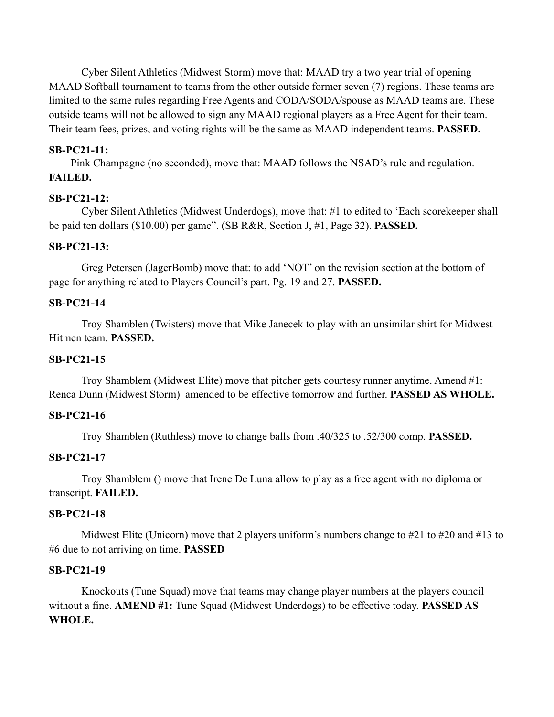Cyber Silent Athletics (Midwest Storm) move that: MAAD try a two year trial of opening MAAD Softball tournament to teams from the other outside former seven (7) regions. These teams are limited to the same rules regarding Free Agents and CODA/SODA/spouse as MAAD teams are. These outside teams will not be allowed to sign any MAAD regional players as a Free Agent for their team. Their team fees, prizes, and voting rights will be the same as MAAD independent teams. **PASSED.**

#### **SB-PC21-11:**

Pink Champagne (no seconded), move that: MAAD follows the NSAD's rule and regulation. **FAILED.**

#### **SB-PC21-12:**

Cyber Silent Athletics (Midwest Underdogs), move that: #1 to edited to 'Each scorekeeper shall be paid ten dollars (\$10.00) per game". (SB R&R, Section J, #1, Page 32). **PASSED.**

#### **SB-PC21-13:**

Greg Petersen (JagerBomb) move that: to add 'NOT' on the revision section at the bottom of page for anything related to Players Council's part. Pg. 19 and 27. **PASSED.**

#### **SB-PC21-14**

Troy Shamblen (Twisters) move that Mike Janecek to play with an unsimilar shirt for Midwest Hitmen team. **PASSED.**

#### **SB-PC21-15**

Troy Shamblem (Midwest Elite) move that pitcher gets courtesy runner anytime. Amend #1: Renca Dunn (Midwest Storm) amended to be effective tomorrow and further. **PASSED AS WHOLE.**

#### **SB-PC21-16**

Troy Shamblen (Ruthless) move to change balls from .40/325 to .52/300 comp. **PASSED.**

#### **SB-PC21-17**

Troy Shamblem () move that Irene De Luna allow to play as a free agent with no diploma or transcript. **FAILED.**

#### **SB-PC21-18**

Midwest Elite (Unicorn) move that 2 players uniform's numbers change to #21 to #20 and #13 to #6 due to not arriving on time. **PASSED**

#### **SB-PC21-19**

Knockouts (Tune Squad) move that teams may change player numbers at the players council without a fine. **AMEND #1:** Tune Squad (Midwest Underdogs) to be effective today. **PASSED AS WHOLE.**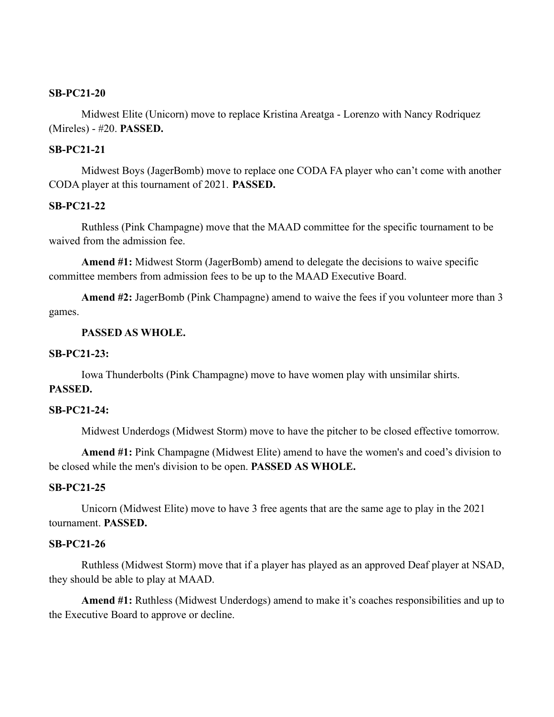#### **SB-PC21-20**

Midwest Elite (Unicorn) move to replace Kristina Areatga - Lorenzo with Nancy Rodriquez (Mireles) - #20. **PASSED.**

#### **SB-PC21-21**

Midwest Boys (JagerBomb) move to replace one CODA FA player who can't come with another CODA player at this tournament of 2021. **PASSED.**

#### **SB-PC21-22**

Ruthless (Pink Champagne) move that the MAAD committee for the specific tournament to be waived from the admission fee.

**Amend #1:** Midwest Storm (JagerBomb) amend to delegate the decisions to waive specific committee members from admission fees to be up to the MAAD Executive Board.

**Amend #2:** JagerBomb (Pink Champagne) amend to waive the fees if you volunteer more than 3 games.

#### **PASSED AS WHOLE.**

#### **SB-PC21-23:**

Iowa Thunderbolts (Pink Champagne) move to have women play with unsimilar shirts.

# **PASSED.**

#### **SB-PC21-24:**

Midwest Underdogs (Midwest Storm) move to have the pitcher to be closed effective tomorrow.

**Amend #1:** Pink Champagne (Midwest Elite) amend to have the women's and coed's division to be closed while the men's division to be open. **PASSED AS WHOLE.**

#### **SB-PC21-25**

Unicorn (Midwest Elite) move to have 3 free agents that are the same age to play in the 2021 tournament. **PASSED.**

#### **SB-PC21-26**

Ruthless (Midwest Storm) move that if a player has played as an approved Deaf player at NSAD, they should be able to play at MAAD.

**Amend #1:** Ruthless (Midwest Underdogs) amend to make it's coaches responsibilities and up to the Executive Board to approve or decline.